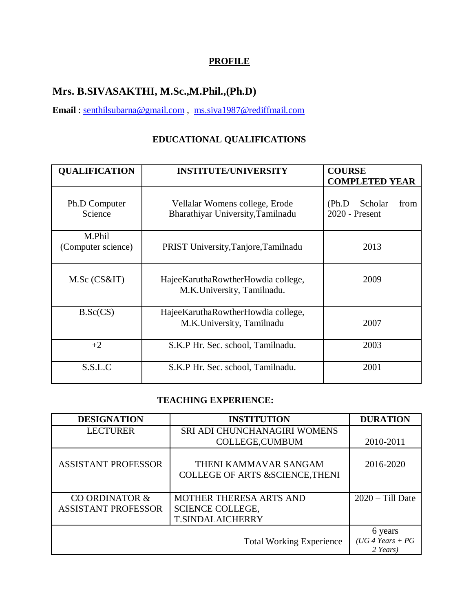## **PROFILE**

# **Mrs. B.SIVASAKTHI, M.Sc.,M.Phil.,(Ph.D)**

**Email** : [senthilsubarna@gmail.com](mailto:senthilsubarna@gmail.com) , [ms.siva1987@rediffmail.com](mailto:ms.siva1987@rediffmail.com)

# **EDUCATIONAL QUALIFICATIONS**

| <b>QUALIFICATION</b>         | <b>INSTITUTE/UNIVERSITY</b>                                         | <b>COURSE</b><br><b>COMPLETED YEAR</b>        |  |
|------------------------------|---------------------------------------------------------------------|-----------------------------------------------|--|
| Ph.D Computer<br>Science     | Vellalar Womens college, Erode<br>Bharathiyar University, Tamilnadu | from<br>Scholar<br>(Ph.D)<br>$2020$ - Present |  |
| M.Phil<br>(Computer science) | PRIST University, Tanjore, Tamilnadu                                | 2013                                          |  |
| M.Sc (CS&IT)                 | HajeeKaruthaRowtherHowdia college,<br>M.K.University, Tamilnadu.    | 2009                                          |  |
| B.Sc(CS)                     | HajeeKaruthaRowtherHowdia college,<br>M.K.University, Tamilnadu     | 2007                                          |  |
| $+2$                         | S.K.P Hr. Sec. school, Tamilnadu.                                   | 2003                                          |  |
| S.S.L.C                      | S.K.P Hr. Sec. school, Tamilnadu.                                   | 2001                                          |  |

#### **TEACHING EXPERIENCE:**

| <b>DESIGNATION</b>         | <b>INSTITUTION</b>                                                  | <b>DURATION</b>                           |
|----------------------------|---------------------------------------------------------------------|-------------------------------------------|
| <b>LECTURER</b>            | SRI ADI CHUNCHANAGIRI WOMENS                                        |                                           |
|                            | <b>COLLEGE, CUMBUM</b>                                              | 2010-2011                                 |
| <b>ASSISTANT PROFESSOR</b> | THENI KAMMAVAR SANGAM<br><b>COLLEGE OF ARTS &amp;SCIENCE, THENI</b> | 2016-2020                                 |
| CO ORDINATOR &             | MOTHER THERESA ARTS AND                                             | $2020 - Till$ Date                        |
| <b>ASSISTANT PROFESSOR</b> | <b>SCIENCE COLLEGE,</b>                                             |                                           |
|                            | <b>T.SINDALAICHERRY</b>                                             |                                           |
|                            | <b>Total Working Experience</b>                                     | 6 years<br>$(UG 4 Years + PG$<br>2 Years) |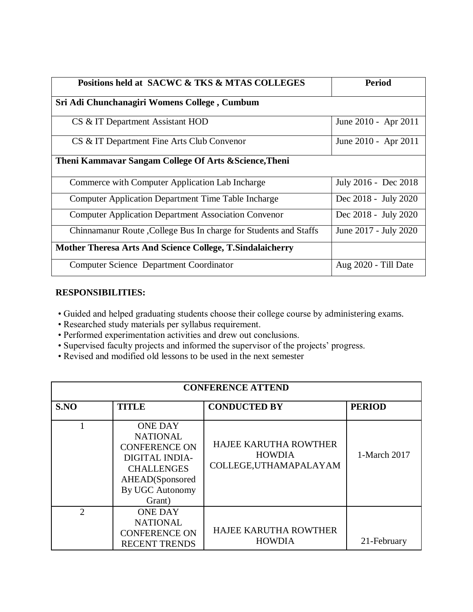| Positions held at SACWC & TKS & MTAS COLLEGES                    | Period                |
|------------------------------------------------------------------|-----------------------|
| Sri Adi Chunchanagiri Womens College, Cumbum                     |                       |
| CS & IT Department Assistant HOD                                 | June 2010 - Apr 2011  |
| CS & IT Department Fine Arts Club Convenor                       | June 2010 - Apr 2011  |
| Theni Kammavar Sangam College Of Arts & Science, Theni           |                       |
| Commerce with Computer Application Lab Incharge                  | July 2016 - Dec 2018  |
| <b>Computer Application Department Time Table Incharge</b>       | Dec 2018 - July 2020  |
| <b>Computer Application Department Association Convenor</b>      | Dec 2018 - July 2020  |
| Chinnamanur Route, College Bus In charge for Students and Staffs | June 2017 - July 2020 |
| Mother Theresa Arts And Science College, T. Sindalaicherry       |                       |
| Computer Science Department Coordinator                          | Aug 2020 - Till Date  |

#### **RESPONSIBILITIES:**

- Guided and helped graduating students choose their college course by administering exams.
- Researched study materials per syllabus requirement.
- Performed experimentation activities and drew out conclusions.
- Supervised faculty projects and informed the supervisor of the projects' progress.
- Revised and modified old lessons to be used in the next semester

| <b>CONFERENCE ATTEND</b> |                                                                                                                                                  |                                                                         |               |
|--------------------------|--------------------------------------------------------------------------------------------------------------------------------------------------|-------------------------------------------------------------------------|---------------|
| S.NO                     | <b>TITLE</b>                                                                                                                                     | <b>CONDUCTED BY</b>                                                     | <b>PERIOD</b> |
|                          | <b>ONE DAY</b><br><b>NATIONAL</b><br><b>CONFERENCE ON</b><br>DIGITAL INDIA-<br><b>CHALLENGES</b><br>AHEAD(Sponsored<br>By UGC Autonomy<br>Grant) | <b>HAJEE KARUTHA ROWTHER</b><br><b>HOWDIA</b><br>COLLEGE, UTHAMAPALAYAM | 1-March 2017  |
| $\overline{2}$           | <b>ONE DAY</b><br><b>NATIONAL</b><br><b>CONFERENCE ON</b><br><b>RECENT TRENDS</b>                                                                | <b>HAJEE KARUTHA ROWTHER</b><br><b>HOWDIA</b>                           | 21-February   |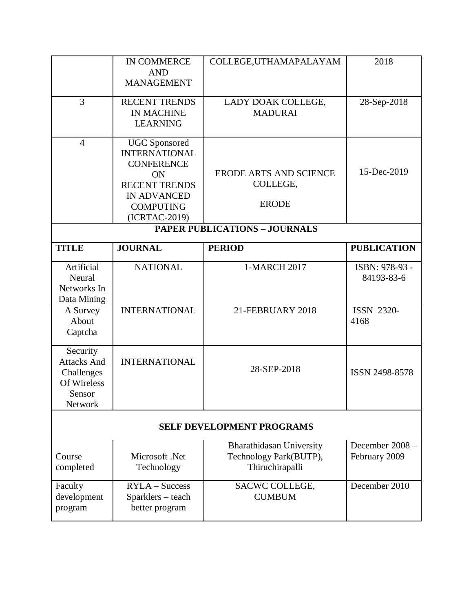|                                                                                  | <b>IN COMMERCE</b><br><b>AND</b><br><b>MANAGEMENT</b>                                                                                                      | COLLEGE, UTHAMAPALAYAM                                                | 2018                             |
|----------------------------------------------------------------------------------|------------------------------------------------------------------------------------------------------------------------------------------------------------|-----------------------------------------------------------------------|----------------------------------|
| 3                                                                                | <b>RECENT TRENDS</b><br><b>IN MACHINE</b><br><b>LEARNING</b>                                                                                               | LADY DOAK COLLEGE,<br><b>MADURAI</b>                                  | 28-Sep-2018                      |
| $\overline{4}$                                                                   | <b>UGC</b> Sponsored<br><b>INTERNATIONAL</b><br><b>CONFERENCE</b><br>ON<br><b>RECENT TRENDS</b><br><b>IN ADVANCED</b><br><b>COMPUTING</b><br>(ICRTAC-2019) | <b>ERODE ARTS AND SCIENCE</b><br>COLLEGE,<br><b>ERODE</b>             | 15-Dec-2019                      |
| <b>PAPER PUBLICATIONS - JOURNALS</b>                                             |                                                                                                                                                            |                                                                       |                                  |
| <b>TITLE</b>                                                                     | <b>JOURNAL</b>                                                                                                                                             | <b>PERIOD</b>                                                         | <b>PUBLICATION</b>               |
| Artificial<br>Neural<br>Networks In<br>Data Mining                               | <b>NATIONAL</b>                                                                                                                                            | 1-MARCH 2017                                                          | ISBN: 978-93 -<br>84193-83-6     |
| A Survey<br>About<br>Captcha                                                     | <b>INTERNATIONAL</b>                                                                                                                                       | 21-FEBRUARY 2018                                                      | <b>ISSN 2320-</b><br>4168        |
| Security<br><b>Attacks And</b><br>Challenges<br>Of Wireless<br>Sensor<br>Network | <b>INTERNATIONAL</b>                                                                                                                                       | 28-SEP-2018                                                           | ISSN 2498-8578                   |
| <b>SELF DEVELOPMENT PROGRAMS</b>                                                 |                                                                                                                                                            |                                                                       |                                  |
| Course<br>completed                                                              | Microsoft .Net<br>Technology                                                                                                                               | Bharathidasan University<br>Technology Park(BUTP),<br>Thiruchirapalli | December 2008 -<br>February 2009 |
| Faculty<br>development<br>program                                                | $RYLA - Success$<br>Sparklers - teach<br>better program                                                                                                    | SACWC COLLEGE,<br><b>CUMBUM</b>                                       | December 2010                    |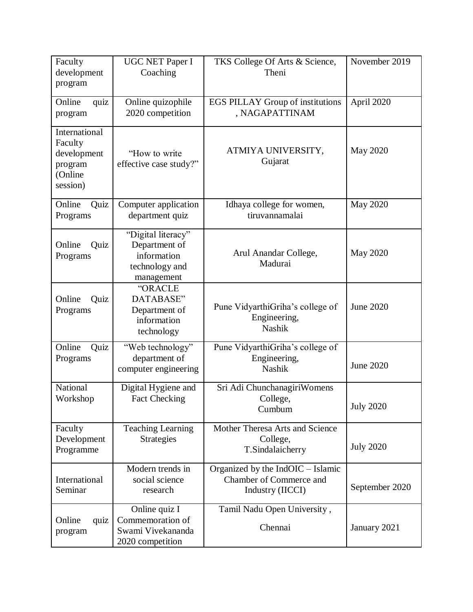| Faculty<br>development                                                    | <b>UGC NET Paper I</b><br>Coaching                                                 | TKS College Of Arts & Science,<br>Theni                                            | November 2019    |
|---------------------------------------------------------------------------|------------------------------------------------------------------------------------|------------------------------------------------------------------------------------|------------------|
| program                                                                   |                                                                                    |                                                                                    |                  |
| Online<br>quiz<br>program                                                 | Online quizophile<br>2020 competition                                              | <b>EGS PILLAY Group of institutions</b><br>, NAGAPATTINAM                          | April 2020       |
| International<br>Faculty<br>development<br>program<br>(Online<br>session) | "How to write"<br>effective case study?"                                           | ATMIYA UNIVERSITY,<br>Gujarat                                                      | <b>May 2020</b>  |
| Online<br>Quiz<br>Programs                                                | Computer application<br>department quiz                                            | Idhaya college for women,<br>tiruvannamalai                                        | May 2020         |
| Online<br>Quiz<br>Programs                                                | "Digital literacy"<br>Department of<br>information<br>technology and<br>management | Arul Anandar College,<br>Madurai                                                   | May 2020         |
| Online<br>Quiz<br>Programs                                                | "ORACLE<br>DATABASE"<br>Department of<br>information<br>technology                 | Pune VidyarthiGriha's college of<br>Engineering,<br><b>Nashik</b>                  | <b>June 2020</b> |
| Online<br>Quiz<br>Programs                                                | "Web technology"<br>department of<br>computer engineering                          | Pune VidyarthiGriha's college of<br>Engineering,<br>Nashik                         | June 2020        |
| National<br>Workshop                                                      | Digital Hygiene and<br>Fact Checking                                               | Sri Adi ChunchanagiriWomens<br>College,<br>Cumbum                                  | <b>July 2020</b> |
| Faculty<br>Development<br>Programme                                       | <b>Teaching Learning</b><br><b>Strategies</b>                                      | Mother Theresa Arts and Science<br>College,<br>T.Sindalaicherry                    | <b>July 2020</b> |
| International<br>Seminar                                                  | Modern trends in<br>social science<br>research                                     | Organized by the $IndOIC - Islamic$<br>Chamber of Commerce and<br>Industry (IICCI) | September 2020   |
| Online<br>quiz<br>program                                                 | Online quiz I<br>Commemoration of<br>Swami Vivekananda<br>2020 competition         | Tamil Nadu Open University,<br>Chennai                                             | January 2021     |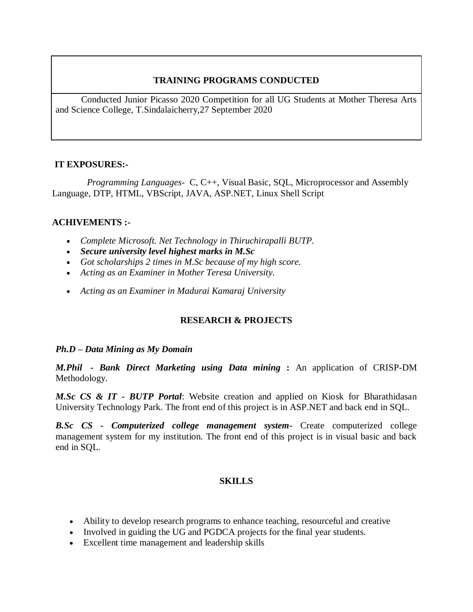#### **TRAINING PROGRAMS CONDUCTED**

 Conducted Junior Picasso 2020 Competition for all UG Students at Mother Theresa Arts and Science College, T.Sindalaicherry,27 September 2020

#### **IT EXPOSURES:-**

 *Programming Languages*- C, C++, Visual Basic, SQL, Microprocessor and Assembly Language, DTP, HTML, VBScript, JAVA, ASP.NET, Linux Shell Script

#### **ACHIVEMENTS :-**

- *Complete Microsoft. Net Technology in Thiruchirapalli BUTP.*
- *Secure university level highest marks in M.Sc*
- *Got scholarships 2 times in M.Sc because of my high score.*
- *Acting as an Examiner in Mother Teresa University.*
- *Acting as an Examiner in Madurai Kamaraj University*

## **RESEARCH & PROJECTS**

#### *Ph.D – Data Mining as My Domain*

*M.Phil - Bank Direct Marketing using Data mining* **:** An application of CRISP-DM Methodology.

*M.Sc CS & IT - BUTP Portal*: Website creation and applied on Kiosk for Bharathidasan University Technology Park. The front end of this project is in ASP.NET and back end in SQL.

*B.Sc CS - Computerized college management system***-** Create computerized college management system for my institution. The front end of this project is in visual basic and back end in SQL.

#### **SKILLS**

- Ability to develop research programs to enhance teaching, resourceful and creative
- Involved in guiding the UG and PGDCA projects for the final year students.
- Excellent time management and leadership skills